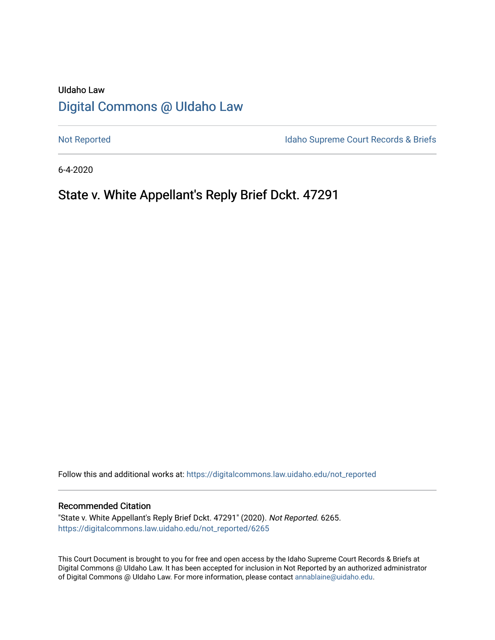# UIdaho Law [Digital Commons @ UIdaho Law](https://digitalcommons.law.uidaho.edu/)

[Not Reported](https://digitalcommons.law.uidaho.edu/not_reported) **Idaho Supreme Court Records & Briefs** 

6-4-2020

# State v. White Appellant's Reply Brief Dckt. 47291

Follow this and additional works at: [https://digitalcommons.law.uidaho.edu/not\\_reported](https://digitalcommons.law.uidaho.edu/not_reported?utm_source=digitalcommons.law.uidaho.edu%2Fnot_reported%2F6265&utm_medium=PDF&utm_campaign=PDFCoverPages) 

#### Recommended Citation

"State v. White Appellant's Reply Brief Dckt. 47291" (2020). Not Reported. 6265. [https://digitalcommons.law.uidaho.edu/not\\_reported/6265](https://digitalcommons.law.uidaho.edu/not_reported/6265?utm_source=digitalcommons.law.uidaho.edu%2Fnot_reported%2F6265&utm_medium=PDF&utm_campaign=PDFCoverPages)

This Court Document is brought to you for free and open access by the Idaho Supreme Court Records & Briefs at Digital Commons @ UIdaho Law. It has been accepted for inclusion in Not Reported by an authorized administrator of Digital Commons @ UIdaho Law. For more information, please contact [annablaine@uidaho.edu](mailto:annablaine@uidaho.edu).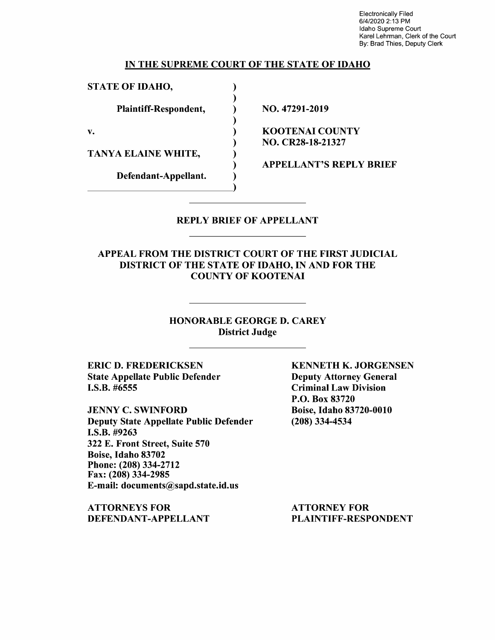Electronically Filed 6/4/2020 2:13 PM Idaho Supreme Court Karel Lehrman, Clerk of the Court By: Brad Thies, Deputy Clerk

#### IN THE SUPREME COURT OF THE STATE OF IDAHO

) ) ) ) ) ) ) ) )

STATE OF IDAHO,

Plaintiff-Respondent,

v.

TANYA ELAINE WHITE,

Defendant-Appellant.

NO. 47291-2019

KOOTENAI COUNTY NO. CR28-18-21327

APPELLANT'S REPLY BRIEF

#### REPLY BRIEF OF APPELLANT

APPEAL FROM THE DISTRICT COURT OF THE FIRST JUDICIAL DISTRICT OF THE STATE OF IDAHO, IN AND FOR THE COUNTY OF KOOTENAI

> HONORABLE GEORGE D. CAREY District Judge

ERIC D. FREDERICKSEN State Appellate Public Defender I.S.B. #6555

JENNY C. SWINFORD Deputy State Appellate Public Defender **I.S.B.** #9263 322 E. Front Street, Suite 570 Boise, Idaho 83702 Phone:(208)334-2712 Fax: (208) 334-2985 E-mail: documents@sapd.state.id.us

**ATTORNEYS FOR DEFENDANT-APPELLANT**  **KENNETH K. JORGENSEN**  Deputy Attorney General Criminal Law Division P.O. Box 83720 Boise, Idaho 83720-0010 (208) 334-4534

ATTORNEY FOR PLAINTIFF-RESPONDENT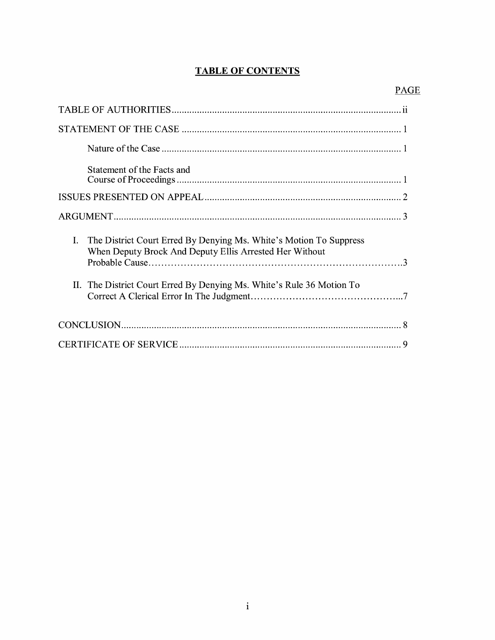## **TABLE OF CONTENTS**

| Statement of the Facts and                                                                                                                                                                                               |
|--------------------------------------------------------------------------------------------------------------------------------------------------------------------------------------------------------------------------|
|                                                                                                                                                                                                                          |
|                                                                                                                                                                                                                          |
| $\mathbf{I}$ .<br>The District Court Erred By Denying Ms. White's Motion To Suppress<br>When Deputy Brock And Deputy Ellis Arrested Her Without<br>II. The District Court Erred By Denying Ms. White's Rule 36 Motion To |
|                                                                                                                                                                                                                          |
| 9                                                                                                                                                                                                                        |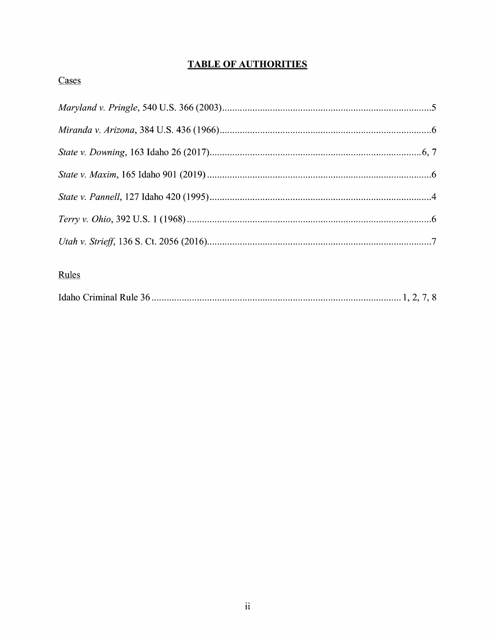## **TABLE OF AUTHORITIES**

## Cases

# Rules

|--|--|--|--|--|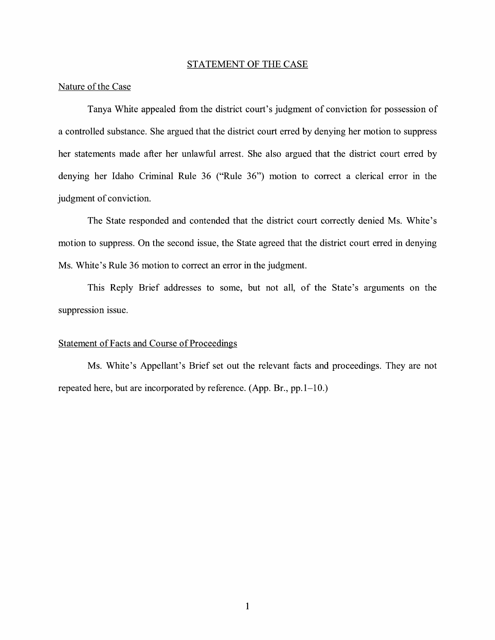#### STATEMENT OF THE CASE

#### Nature of the Case

Tanya White appealed from the district court's judgment of conviction for possession of a controlled substance. She argued that the district court erred by denying her motion to suppress her statements made after her unlawful arrest. She also argued that the district court erred by denying her Idaho Criminal Rule 36 ("Rule 36") motion to correct a clerical error in the judgment of conviction.

The State responded and contended that the district court correctly denied Ms. White's motion to suppress. On the second issue, the State agreed that the district court erred in denying Ms. White's Rule 36 motion to correct an error in the judgment.

This Reply Brief addresses to some, but not all, of the State's arguments on the suppression issue.

#### Statement of Facts and Course of Proceedings

Ms. White's Appellant's Brief set out the relevant facts and proceedings. They are not repeated here, but are incorporated by reference. (App. Br.,  $pp.1-10$ .)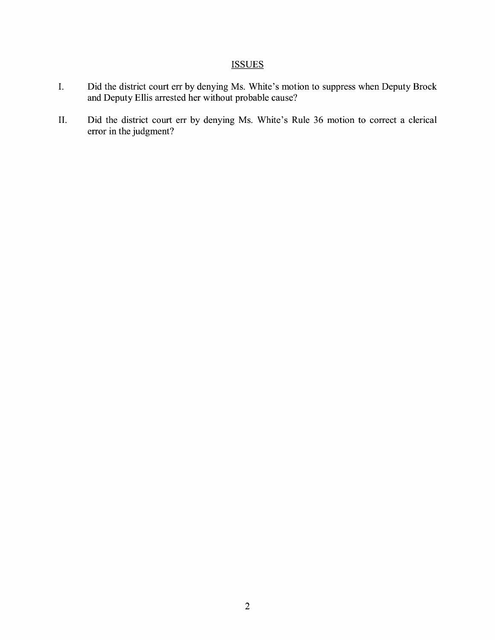### **ISSUES**

- I. Did the district court err by denying Ms. White's motion to suppress when Deputy Brock and Deputy Ellis arrested her without probable cause?
- II. Did the district court err by denying Ms. White's Rule 36 motion to correct a clerical error in the judgment?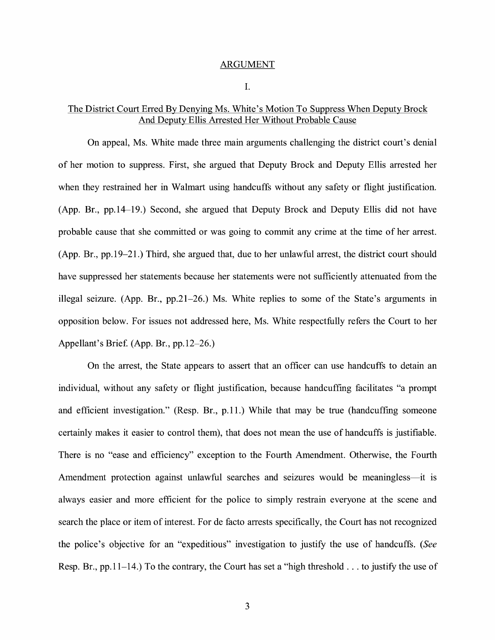#### ARGUMENT

I.

#### The District Court Erred By Denying Ms. White's Motion To Suppress When Deputy Brock And Deputy Ellis Arrested Her Without Probable Cause

On appeal, Ms. White made three main arguments challenging the district court's denial of her motion to suppress. First, she argued that Deputy Brock and Deputy Ellis arrested her when they restrained her in Walmart using handcuffs without any safety or flight justification. (App. Br., pp.14-19.) Second, she argued that Deputy Brock and Deputy Ellis did not have probable cause that she committed or was going to commit any crime at the time of her arrest. (App. Br., pp.19-21.) Third, she argued that, due to her unlawful arrest, the district court should have suppressed her statements because her statements were not sufficiently attenuated from the illegal seizure. (App. Br., pp.21-26.) Ms. White replies to some of the State's arguments in opposition below. For issues not addressed here, Ms. White respectfully refers the Court to her Appellant's Brie£ (App. Br., pp.12-26.)

On the arrest, the State appears to assert that an officer can use handcuffs to detain an individual, without any safety or flight justification, because handcuffing facilitates "a prompt and efficient investigation." (Resp. Br., p.11.) While that may be true (handcuffing someone certainly makes it easier to control them), that does not mean the use of handcuffs is justifiable. There is no "ease and efficiency" exception to the Fourth Amendment. Otherwise, the Fourth Amendment protection against unlawful searches and seizures would be meaningless—it is always easier and more efficient for the police to simply restrain everyone at the scene and search the place or item of interest. For de facto arrests specifically, the Court has not recognized the police's objective for an "expeditious" investigation to justify the use of handcuffs. *(See*  Resp. Br., pp.11-14.) To the contrary, the Court has set a "high threshold ... to justify the use of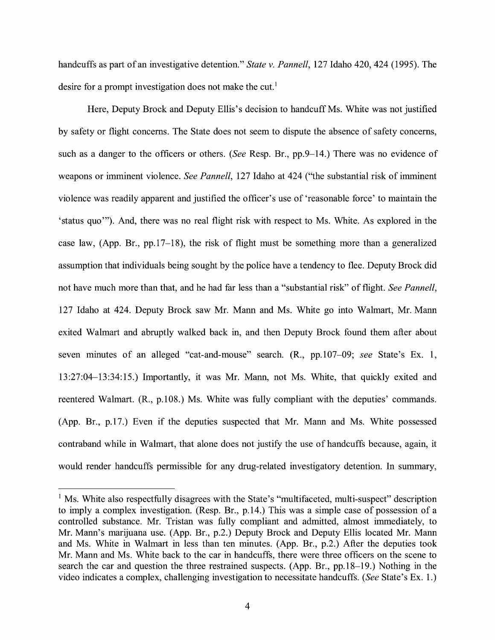handcuffs as part of an investigative detention." *State v. Pannell*, 127 Idaho 420, 424 (1995). The desire for a prompt investigation does not make the cut.<sup>1</sup>

Here, Deputy Brock and Deputy Ellis's decision to handcuff Ms. White was not justified by safety or flight concerns. The State does not seem to dispute the absence of safety concerns, such as a danger to the officers or others. *(See* Resp. Br., pp.9-14.) There was no evidence of weapons or imminent violence. *See Pannell,* 127 Idaho at 424 ("the substantial risk of imminent violence was readily apparent and justified the officer's use of 'reasonable force' to maintain the 'status quo"'). And, there was no real flight risk with respect to Ms. White. As explored in the case law, (App. Br., pp.17-18), the risk of flight must be something more than a generalized assumption that individuals being sought by the police have a tendency to flee. Deputy Brock did not have much more than that, and he had far less than a "substantial risk" of flight. *See Pannell,*  127 Idaho at 424. Deputy Brock saw Mr. Mann and Ms. White go into Walmart, Mr. Mann exited Walmart and abruptly walked back in, and then Deputy Brock found them after about seven minutes of an alleged "cat-and-mouse" search. (R., pp. 107–09; *see* State's Ex. 1, 13:27:04-13:34:15.) Importantly, it was Mr. Mann, not Ms. White, that quickly exited and reentered Walmart. (R., p.108.) Ms. White was fully compliant with the deputies' commands. (App. Br., p.17.) Even if the deputies suspected that Mr. Mann and Ms. White possessed contraband while in Walmart, that alone does not justify the use of handcuffs because, again, it would render handcuffs permissible for any drug-related investigatory detention. In summary,

<sup>&</sup>lt;sup>1</sup> Ms. White also respectfully disagrees with the State's "multifaceted, multi-suspect" description to imply a complex investigation. (Resp. Br., p.14.) This was a simple case of possession of a controlled substance. Mr. Tristan was fully compliant and admitted, almost immediately, to Mr. Mann's marijuana use. (App. Br., p.2.) Deputy Brock and Deputy Ellis located Mr. Mann and Ms. White in Walmart in less than ten minutes. (App. Br., p.2.) After the deputies took Mr. Mann and Ms. White back to the car in handcuffs, there were three officers on the scene to search the car and question the three restrained suspects. (App. Br., pp.18-19.) Nothing in the video indicates a complex, challenging investigation to necessitate handcuffs. (*See State's Ex. 1.*)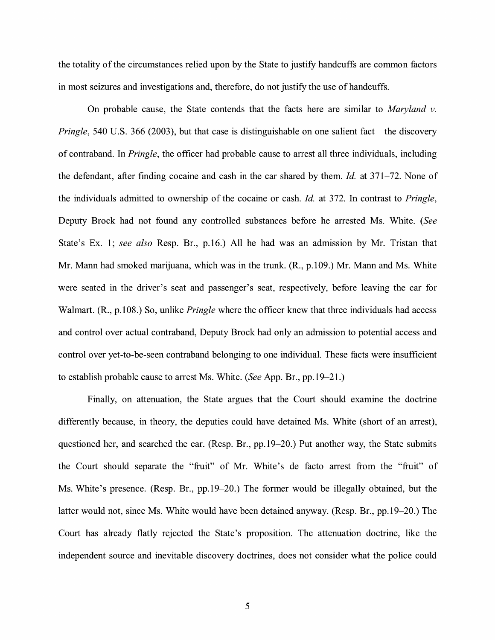the totality of the circumstances relied upon by the State to justify handcuffs are common factors in most seizures and investigations and, therefore, do not justify the use of handcuffs.

On probable cause, the State contends that the facts here are similar to *Maryland v. Pringle*, 540 U.S. 366 (2003), but that case is distinguishable on one salient fact—the discovery of contraband. In *Pringle,* the officer had probable cause to arrest all three individuals, including the defendant, after finding cocaine and cash in the car shared by them. *Id.* at 371–72. None of the individuals admitted to ownership of the cocaine or cash. *Id.* at 3 72. In contrast to *Pringle,*  Deputy Brock had not found any controlled substances before he arrested Ms. White. *(See*  State's Ex. 1; *see also* Resp. Br., p.16.) All he had was an admission by Mr. Tristan that Mr. Mann had smoked marijuana, which was in the trunk. (R., p.109.) Mr. Mann and Ms. White were seated in the driver's seat and passenger's seat, respectively, before leaving the car for Walmart. (R., p.108.) So, unlike *Pringle* where the officer knew that three individuals had access and control over actual contraband, Deputy Brock had only an admission to potential access and control over yet-to-be-seen contraband belonging to one individual. These facts were insufficient to establish probable cause to arrest Ms. White. *(See* App. Br., pp.19-21.)

Finally, on attenuation, the State argues that the Court should examine the doctrine differently because, in theory, the deputies could have detained Ms. White (short of an arrest), questioned her, and searched the car. (Resp. Br., pp.19-20.) Put another way, the State submits the Court should separate the "fruit" of Mr. White's de facto arrest from the "fruit" of Ms. White's presence. (Resp. Br., pp.19-20.) The former would be illegally obtained, but the latter would not, since Ms. White would have been detained anyway. (Resp. Br., pp.19-20.) The Court has already flatly rejected the State's proposition. The attenuation doctrine, like the independent source and inevitable discovery doctrines, does not consider what the police could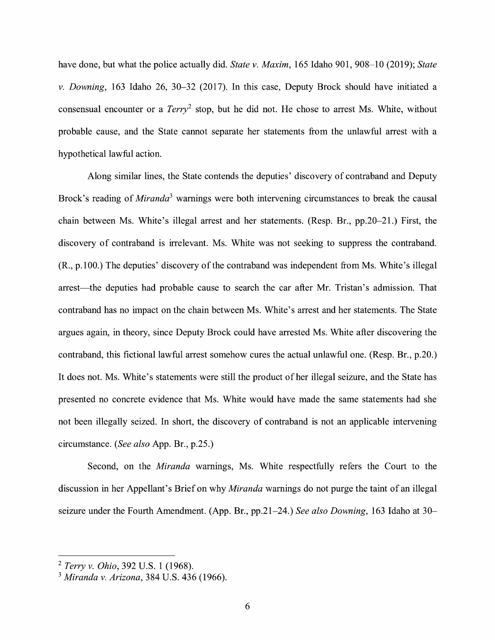have done, but what the police actually did. *State v. Maxim,* 165 Idaho 901, 908-10 (2019); *State v. Downing,* 163 Idaho 26, 30-32 (2017). In this case, Deputy Brock should have initiated a consensual encounter or a  $Terry<sup>2</sup>$  stop, but he did not. He chose to arrest Ms. White, without probable cause, and the State cannot separate her statements from the unlawful arrest with a hypothetical lawful action.

Along similar lines, the State contends the deputies' discovery of contraband and Deputy Brock's reading of *Miranda*<sup>3</sup> warnings were both intervening circumstances to break the causal chain between Ms. White's illegal arrest and her statements. (Resp. Br., pp.20-21.) First, the discovery of contraband is irrelevant. Ms. White was not seeking to suppress the contraband. (R., p.100.) The deputies' discovery of the contraband was independent from Ms. White's illegal arrest—the deputies had probable cause to search the car after Mr. Tristan's admission. That contraband has no impact on the chain between Ms. White's arrest and her statements. The State argues again, in theory, since Deputy Brock could have arrested Ms. White after discovering the contraband, this fictional lawful arrest somehow cures the actual unlawful one. (Resp. Br., p.20.) It does not. Ms. White's statements were still the product of her illegal seizure, and the State has presented no concrete evidence that Ms. White would have made the same statements had she not been illegally seized. In short, the discovery of contraband is not an applicable intervening circumstance. *(See also* App. Br., p.25.)

Second, on the *Miranda* warnings, Ms. White respectfully refers the Court to the discussion in her Appellant's Brief on why *Miranda* warnings do not purge the taint of an illegal seizure under the Fourth Amendment. (App. Br., pp.21-24.) *See also Downing,* 163 Idaho at 30-

<sup>2</sup>*Terry v. Ohio,* 392 U.S. 1 (1968).

<sup>3</sup>*Miranda v. Arizona,* 384 U.S. 436 (1966).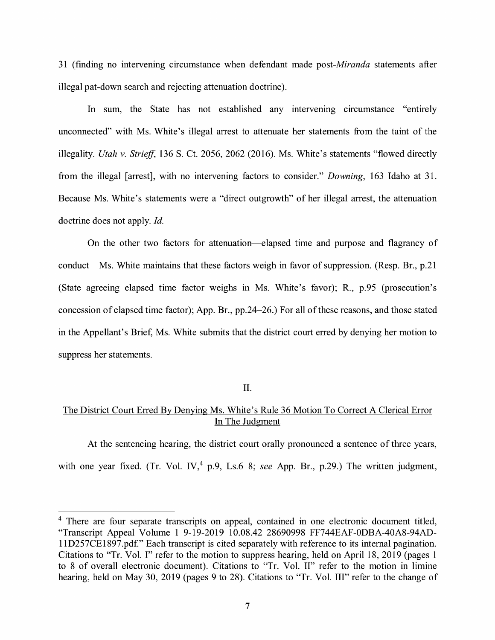31 (finding no intervening circumstance when defendant made *post-Miranda* statements after illegal pat-down search and rejecting attenuation doctrine).

In sum, the State has not established any intervening circumstance "entirely unconnected" with Ms. White's illegal arrest to attenuate her statements from the taint of the illegality. *Utah v. Strieff*, 136 S. Ct. 2056, 2062 (2016). Ms. White's statements "flowed directly from the illegal [arrest], with no intervening factors to consider." *Downing,* 163 Idaho at 31. Because Ms. White's statements were a "direct outgrowth" of her illegal arrest, the attenuation doctrine does not apply. *Id.* 

On the other two factors for attenuation—elapsed time and purpose and flagrancy of conduct—Ms. White maintains that these factors weigh in favor of suppression. (Resp. Br., p.21) (State agreeing elapsed time factor weighs in Ms. White's favor); R., p.95 (prosecution's concession of elapsed time factor); App. Br., pp.24-26.) For all of these reasons, and those stated in the Appellant's Brief, Ms. White submits that the district court erred by denying her motion to suppress her statements.

#### II.

### The District Court Erred By Denying Ms. White's Rule 36 Motion To Correct A Clerical Error In The Judgment

At the sentencing hearing, the district court orally pronounced a sentence of three years, with one year fixed. (Tr. Vol. IV,<sup>4</sup> p.9, Ls.6–8; *see* App. Br., p.29.) The written judgment,

<sup>&</sup>lt;sup>4</sup> There are four separate transcripts on appeal, contained in one electronic document titled, "Transcript Appeal Volume 1 9-19-2019 10.08.42 28690998 FF744EAF-0DBA-40A8-94AD-11D257CE1897.pdf." Each transcript is cited separately with reference to its internal pagination. Citations to "Tr. Vol. I" refer to the motion to suppress hearing, held on April 18, 2019 (pages 1 to 8 of overall electronic document). Citations to "Tr. Vol. II" refer to the motion in limine hearing, held on May 30, 2019 (pages 9 to 28). Citations to "Tr. Vol. III" refer to the change of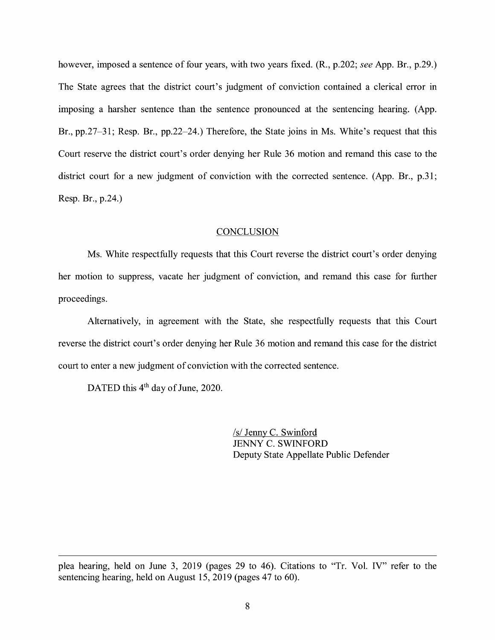however, imposed a sentence of four years, with two years fixed. (R., p.202; *see* App. Br., p.29.) The State agrees that the district court's judgment of conviction contained a clerical error in imposing a harsher sentence than the sentence pronounced at the sentencing hearing. (App. Br., pp.27–31; Resp. Br., pp.22–24.) Therefore, the State joins in Ms. White's request that this Court reserve the district court's order denying her Rule 36 motion and remand this case to the district court for a new judgment of conviction with the corrected sentence. (App. Br., p.31; Resp. Br., p.24.)

#### **CONCLUSION**

Ms. White respectfully requests that this Court reverse the district court's order denying her motion to suppress, vacate her judgment of conviction, and remand this case for further proceedings.

Alternatively, in agreement with the State, she respectfully requests that this Court reverse the district court's order denying her Rule 36 motion and remand this case for the district court to enter a new judgment of conviction with the corrected sentence.

DATED this 4<sup>th</sup> day of June, 2020.

*Isl* Jenny C. Swinford JENNY C. SWINFORD Deputy State Appellate Public Defender

plea hearing, held on June 3, 2019 (pages 29 to 46). Citations to "Tr. Vol. IV" refer to the sentencing hearing, held on August 15, 2019 (pages 47 to 60).